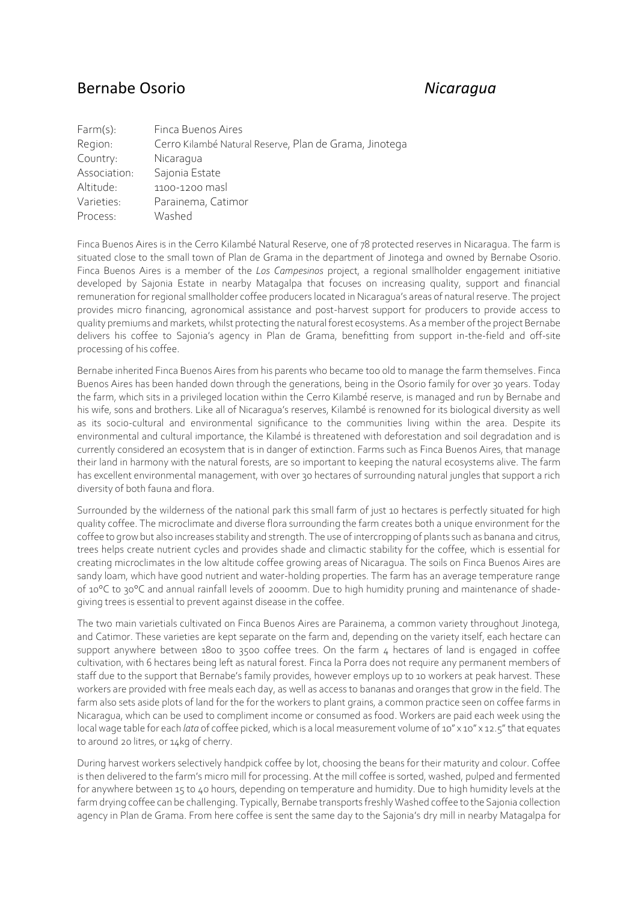## Bernabe Osorio *Nicaragua*

| Farm(s):     | Finca Buenos Aires                                     |
|--------------|--------------------------------------------------------|
| Region:      | Cerro Kilambé Natural Reserve, Plan de Grama, Jinotega |
| Country:     | Nicaragua                                              |
| Association: | Sajonia Estate                                         |
| Altitude:    | 1100-1200 masl                                         |
| Varieties:   | Parainema, Catimor                                     |
| Process:     | Washed                                                 |
|              |                                                        |

Finca Buenos Aires is in the Cerro Kilambé Natural Reserve, one of 78 protected reserves in Nicaragua. The farm is situated close to the small town of Plan de Grama in the department of Jinotega and owned by Bernabe Osorio. Finca Buenos Aires is a member of the *Los Campesinos* project, a regional smallholder engagement initiative developed by Sajonia Estate in nearby Matagalpa that focuses on increasing quality, support and financial remuneration for regional smallholder coffee producers located in Nicaragua's areas of natural reserve. The project provides micro financing, agronomical assistance and post-harvest support for producers to provide access to quality premiums and markets, whilst protecting the natural forest ecosystems. As a member of the project Bernabe delivers his coffee to Sajonia's agency in Plan de Grama, benefitting from support in-the-field and off-site processing of his coffee.

Bernabe inherited Finca Buenos Aires from his parents who became too old to manage the farm themselves. Finca Buenos Aires has been handed down through the generations, being in the Osorio family for over 30 years. Today the farm, which sits in a privileged location within the Cerro Kilambé reserve, is managed and run by Bernabe and his wife, sons and brothers. Like all of Nicaragua's reserves, Kilambé is renowned for its biological diversity as well as its socio-cultural and environmental significance to the communities living within the area. Despite its environmental and cultural importance, the Kilambé is threatened with deforestation and soil degradation and is currently considered an ecosystem that is in danger of extinction. Farms such as Finca Buenos Aires, that manage their land in harmony with the natural forests, are so important to keeping the natural ecosystems alive. The farm has excellent environmental management, with over 30 hectares of surrounding natural jungles that support a rich diversity of both fauna and flora.

Surrounded by the wilderness of the national park this small farm of just 10 hectares is perfectly situated for high quality coffee. The microclimate and diverse flora surrounding the farm creates both a unique environment for the coffee to grow but also increases stability and strength. The use of intercropping of plants such as banana and citrus, trees helps create nutrient cycles and provides shade and climactic stability for the coffee, which is essential for creating microclimates in the low altitude coffee growing areas of Nicaragua. The soils on Finca Buenos Aires are sandy loam, which have good nutrient and water-holding properties. The farm has an average temperature range of 10°C to 30°C and annual rainfall levels of 2000mm. Due to high humidity pruning and maintenance of shadegiving trees is essential to prevent against disease in the coffee.

The two main varietials cultivated on Finca Buenos Aires are Parainema, a common variety throughout Jinotega, and Catimor. These varieties are kept separate on the farm and, depending on the variety itself, each hectare can support anywhere between 1800 to 3500 coffee trees. On the farm  $\mu$  hectares of land is engaged in coffee cultivation, with 6 hectares being left as natural forest. Finca la Porra does not require any permanent members of staff due to the support that Bernabe's family provides, however employs up to 10 workers at peak harvest. These workers are provided with free meals each day, as well as access to bananas and oranges that grow in the field. The farm also sets aside plots of land for the for the workers to plant grains, a common practice seen on coffee farms in Nicaragua, which can be used to compliment income or consumed as food. Workers are paid each week using the local wage table for each *lata* of coffee picked, which is a local measurement volume of 10" x 10" x 12.5" that equates to around 20 litres, or 14kg of cherry.

During harvest workers selectively handpick coffee by lot, choosing the beans for their maturity and colour. Coffee is then delivered to the farm's micro mill for processing. At the mill coffee is sorted, washed, pulped and fermented for anywhere between 15 to 40 hours, depending on temperature and humidity. Due to high humidity levels at the farm drying coffee can be challenging. Typically, Bernabe transports freshly Washed coffee to the Sajonia collection agency in Plan de Grama. From here coffee is sent the same day to the Sajonia's dry mill in nearby Matagalpa for